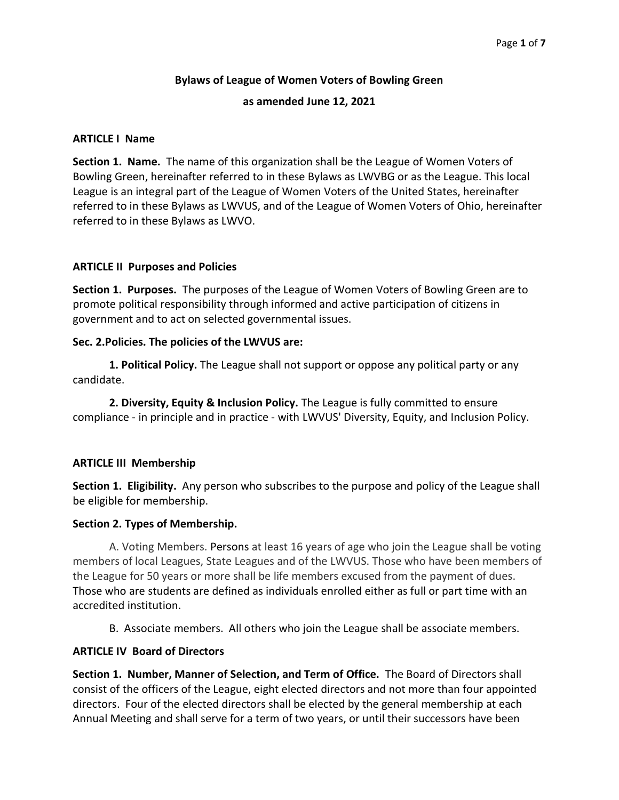## Bylaws of League of Women Voters of Bowling Green

#### as amended June 12, 2021

#### ARTICLE I Name

Section 1. Name. The name of this organization shall be the League of Women Voters of Bowling Green, hereinafter referred to in these Bylaws as LWVBG or as the League. This local League is an integral part of the League of Women Voters of the United States, hereinafter referred to in these Bylaws as LWVUS, and of the League of Women Voters of Ohio, hereinafter referred to in these Bylaws as LWVO.

#### ARTICLE II Purposes and Policies

Section 1. Purposes. The purposes of the League of Women Voters of Bowling Green are to promote political responsibility through informed and active participation of citizens in government and to act on selected governmental issues.

#### Sec. 2.Policies. The policies of the LWVUS are:

1. Political Policy. The League shall not support or oppose any political party or any candidate.

2. Diversity, Equity & Inclusion Policy. The League is fully committed to ensure compliance - in principle and in practice - with LWVUS' Diversity, Equity, and Inclusion Policy.

## ARTICLE III Membership

Section 1. Eligibility. Any person who subscribes to the purpose and policy of the League shall be eligible for membership.

#### Section 2. Types of Membership.

A. Voting Members. Persons at least 16 years of age who join the League shall be voting members of local Leagues, State Leagues and of the LWVUS. Those who have been members of the League for 50 years or more shall be life members excused from the payment of dues. Those who are students are defined as individuals enrolled either as full or part time with an accredited institution.

B. Associate members. All others who join the League shall be associate members.

## ARTICLE IV Board of Directors

Section 1. Number, Manner of Selection, and Term of Office. The Board of Directors shall consist of the officers of the League, eight elected directors and not more than four appointed directors. Four of the elected directors shall be elected by the general membership at each Annual Meeting and shall serve for a term of two years, or until their successors have been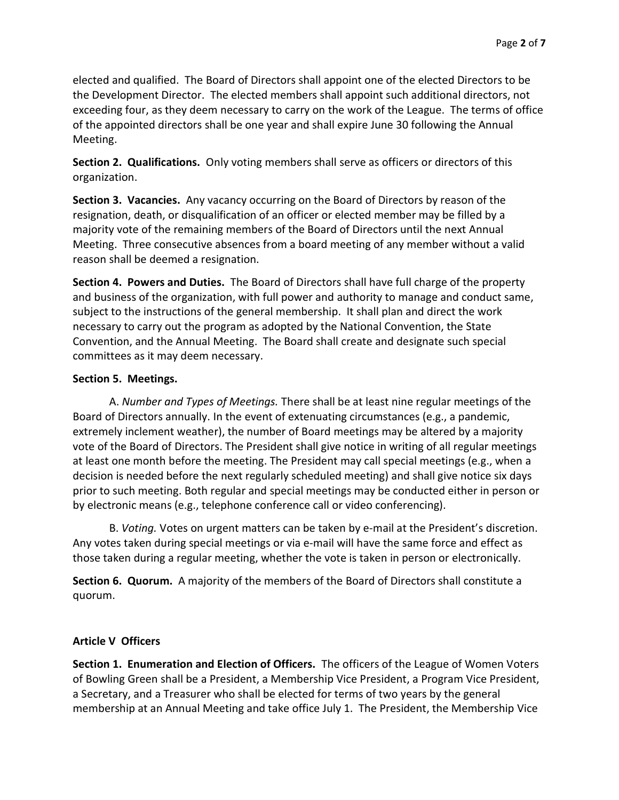elected and qualified. The Board of Directors shall appoint one of the elected Directors to be the Development Director. The elected members shall appoint such additional directors, not exceeding four, as they deem necessary to carry on the work of the League. The terms of office of the appointed directors shall be one year and shall expire June 30 following the Annual Meeting.

Section 2. Qualifications. Only voting members shall serve as officers or directors of this organization.

Section 3. Vacancies. Any vacancy occurring on the Board of Directors by reason of the resignation, death, or disqualification of an officer or elected member may be filled by a majority vote of the remaining members of the Board of Directors until the next Annual Meeting. Three consecutive absences from a board meeting of any member without a valid reason shall be deemed a resignation.

Section 4. Powers and Duties. The Board of Directors shall have full charge of the property and business of the organization, with full power and authority to manage and conduct same, subject to the instructions of the general membership. It shall plan and direct the work necessary to carry out the program as adopted by the National Convention, the State Convention, and the Annual Meeting. The Board shall create and designate such special committees as it may deem necessary.

## Section 5. Meetings.

 A. Number and Types of Meetings. There shall be at least nine regular meetings of the Board of Directors annually. In the event of extenuating circumstances (e.g., a pandemic, extremely inclement weather), the number of Board meetings may be altered by a majority vote of the Board of Directors. The President shall give notice in writing of all regular meetings at least one month before the meeting. The President may call special meetings (e.g., when a decision is needed before the next regularly scheduled meeting) and shall give notice six days prior to such meeting. Both regular and special meetings may be conducted either in person or by electronic means (e.g., telephone conference call or video conferencing).

B. Voting. Votes on urgent matters can be taken by e-mail at the President's discretion. Any votes taken during special meetings or via e-mail will have the same force and effect as those taken during a regular meeting, whether the vote is taken in person or electronically.

Section 6. Quorum. A majority of the members of the Board of Directors shall constitute a quorum.

## Article V Officers

Section 1. Enumeration and Election of Officers. The officers of the League of Women Voters of Bowling Green shall be a President, a Membership Vice President, a Program Vice President, a Secretary, and a Treasurer who shall be elected for terms of two years by the general membership at an Annual Meeting and take office July 1. The President, the Membership Vice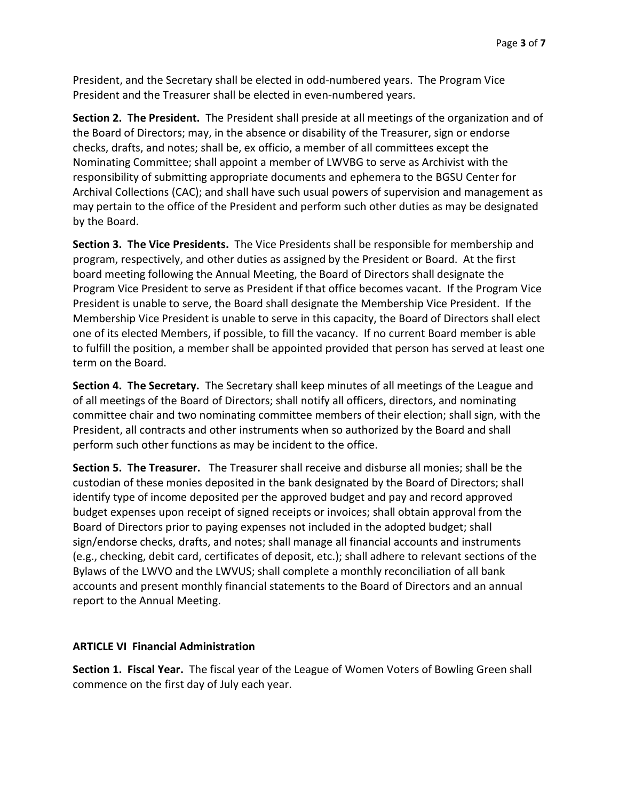President, and the Secretary shall be elected in odd-numbered years. The Program Vice President and the Treasurer shall be elected in even-numbered years.

Section 2. The President. The President shall preside at all meetings of the organization and of the Board of Directors; may, in the absence or disability of the Treasurer, sign or endorse checks, drafts, and notes; shall be, ex officio, a member of all committees except the Nominating Committee; shall appoint a member of LWVBG to serve as Archivist with the responsibility of submitting appropriate documents and ephemera to the BGSU Center for Archival Collections (CAC); and shall have such usual powers of supervision and management as may pertain to the office of the President and perform such other duties as may be designated by the Board.

Section 3. The Vice Presidents. The Vice Presidents shall be responsible for membership and program, respectively, and other duties as assigned by the President or Board. At the first board meeting following the Annual Meeting, the Board of Directors shall designate the Program Vice President to serve as President if that office becomes vacant. If the Program Vice President is unable to serve, the Board shall designate the Membership Vice President. If the Membership Vice President is unable to serve in this capacity, the Board of Directors shall elect one of its elected Members, if possible, to fill the vacancy. If no current Board member is able to fulfill the position, a member shall be appointed provided that person has served at least one term on the Board.

Section 4. The Secretary. The Secretary shall keep minutes of all meetings of the League and of all meetings of the Board of Directors; shall notify all officers, directors, and nominating committee chair and two nominating committee members of their election; shall sign, with the President, all contracts and other instruments when so authorized by the Board and shall perform such other functions as may be incident to the office.

Section 5. The Treasurer. The Treasurer shall receive and disburse all monies; shall be the custodian of these monies deposited in the bank designated by the Board of Directors; shall identify type of income deposited per the approved budget and pay and record approved budget expenses upon receipt of signed receipts or invoices; shall obtain approval from the Board of Directors prior to paying expenses not included in the adopted budget; shall sign/endorse checks, drafts, and notes; shall manage all financial accounts and instruments (e.g., checking, debit card, certificates of deposit, etc.); shall adhere to relevant sections of the Bylaws of the LWVO and the LWVUS; shall complete a monthly reconciliation of all bank accounts and present monthly financial statements to the Board of Directors and an annual report to the Annual Meeting.

## ARTICLE VI Financial Administration

Section 1. Fiscal Year. The fiscal year of the League of Women Voters of Bowling Green shall commence on the first day of July each year.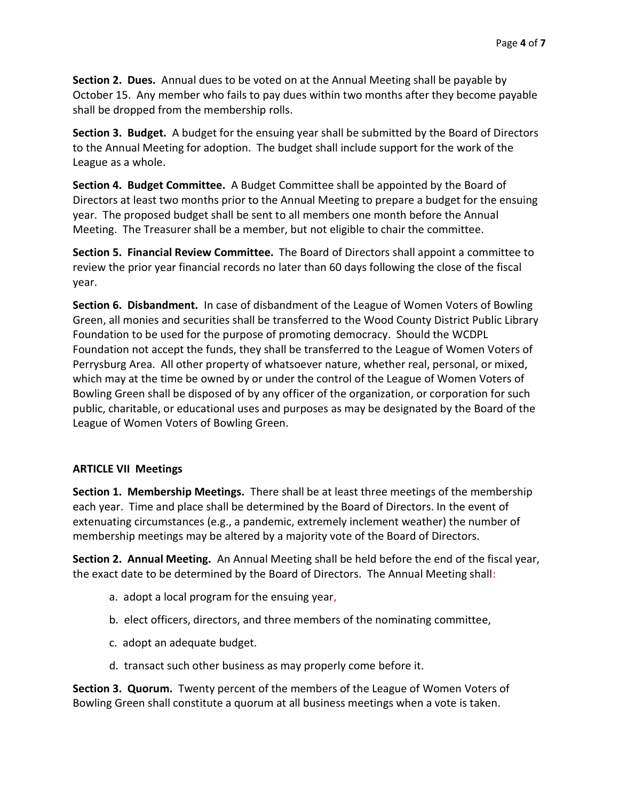Section 2. Dues. Annual dues to be voted on at the Annual Meeting shall be payable by October 15. Any member who fails to pay dues within two months after they become payable shall be dropped from the membership rolls.

Section 3. Budget. A budget for the ensuing year shall be submitted by the Board of Directors to the Annual Meeting for adoption. The budget shall include support for the work of the League as a whole.

Section 4. Budget Committee. A Budget Committee shall be appointed by the Board of Directors at least two months prior to the Annual Meeting to prepare a budget for the ensuing year. The proposed budget shall be sent to all members one month before the Annual Meeting. The Treasurer shall be a member, but not eligible to chair the committee.

Section 5. Financial Review Committee. The Board of Directors shall appoint a committee to review the prior year financial records no later than 60 days following the close of the fiscal year.

Section 6. Disbandment. In case of disbandment of the League of Women Voters of Bowling Green, all monies and securities shall be transferred to the Wood County District Public Library Foundation to be used for the purpose of promoting democracy. Should the WCDPL Foundation not accept the funds, they shall be transferred to the League of Women Voters of Perrysburg Area. All other property of whatsoever nature, whether real, personal, or mixed, which may at the time be owned by or under the control of the League of Women Voters of Bowling Green shall be disposed of by any officer of the organization, or corporation for such public, charitable, or educational uses and purposes as may be designated by the Board of the League of Women Voters of Bowling Green.

# ARTICLE VII Meetings

Section 1. Membership Meetings. There shall be at least three meetings of the membership each year. Time and place shall be determined by the Board of Directors. In the event of extenuating circumstances (e.g., a pandemic, extremely inclement weather) the number of membership meetings may be altered by a majority vote of the Board of Directors.

Section 2. Annual Meeting. An Annual Meeting shall be held before the end of the fiscal year, the exact date to be determined by the Board of Directors. The Annual Meeting shall:

- a. adopt a local program for the ensuing year,
- b. elect officers, directors, and three members of the nominating committee,
- c. adopt an adequate budget.
- d. transact such other business as may properly come before it.

Section 3. Quorum. Twenty percent of the members of the League of Women Voters of Bowling Green shall constitute a quorum at all business meetings when a vote is taken.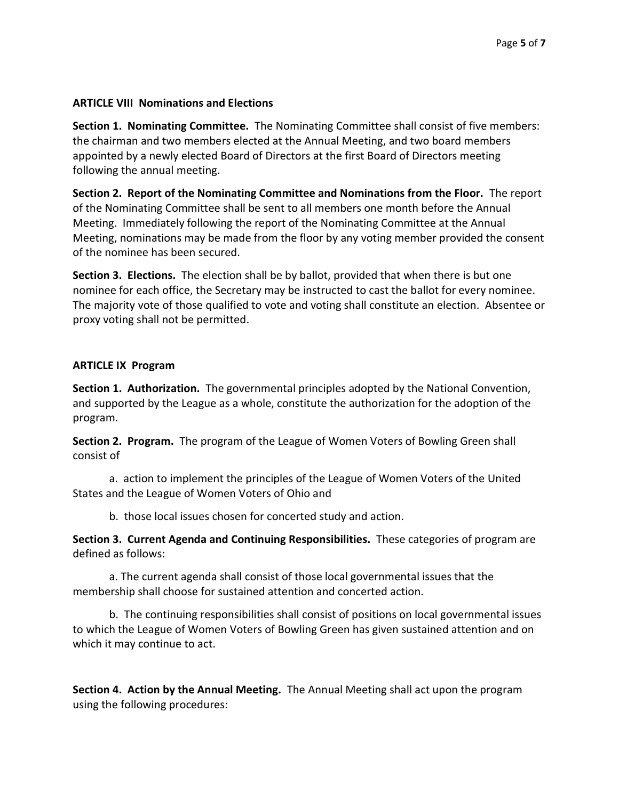# ARTICLE VIII Nominations and Elections

Section 1. Nominating Committee. The Nominating Committee shall consist of five members: the chairman and two members elected at the Annual Meeting, and two board members appointed by a newly elected Board of Directors at the first Board of Directors meeting following the annual meeting.

Section 2. Report of the Nominating Committee and Nominations from the Floor. The report of the Nominating Committee shall be sent to all members one month before the Annual Meeting. Immediately following the report of the Nominating Committee at the Annual Meeting, nominations may be made from the floor by any voting member provided the consent of the nominee has been secured.

Section 3. Elections. The election shall be by ballot, provided that when there is but one nominee for each office, the Secretary may be instructed to cast the ballot for every nominee. The majority vote of those qualified to vote and voting shall constitute an election. Absentee or proxy voting shall not be permitted.

## ARTICLE IX Program

Section 1. Authorization. The governmental principles adopted by the National Convention, and supported by the League as a whole, constitute the authorization for the adoption of the program.

Section 2. Program. The program of the League of Women Voters of Bowling Green shall consist of

a. action to implement the principles of the League of Women Voters of the United States and the League of Women Voters of Ohio and

b. those local issues chosen for concerted study and action.

Section 3. Current Agenda and Continuing Responsibilities. These categories of program are defined as follows:

a. The current agenda shall consist of those local governmental issues that the membership shall choose for sustained attention and concerted action.

b. The continuing responsibilities shall consist of positions on local governmental issues to which the League of Women Voters of Bowling Green has given sustained attention and on which it may continue to act.

Section 4. Action by the Annual Meeting. The Annual Meeting shall act upon the program using the following procedures: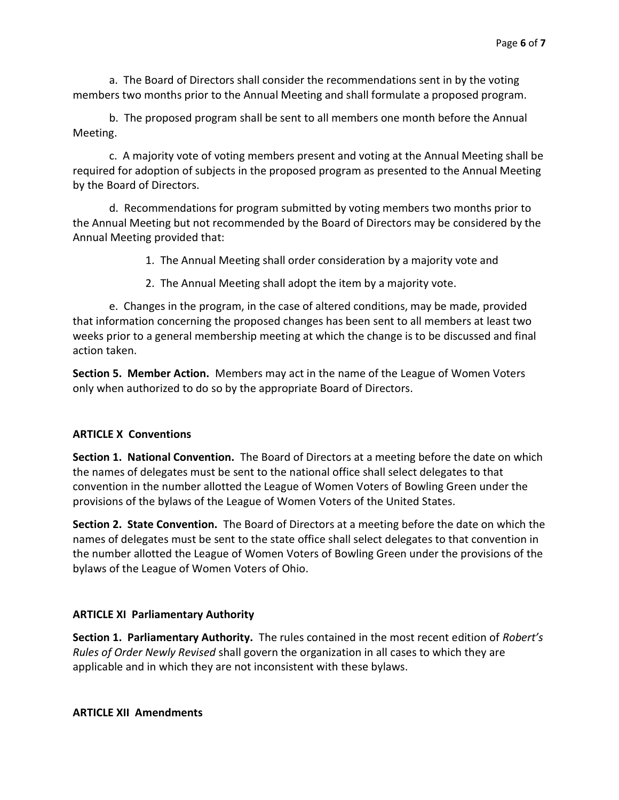a. The Board of Directors shall consider the recommendations sent in by the voting members two months prior to the Annual Meeting and shall formulate a proposed program.

b. The proposed program shall be sent to all members one month before the Annual Meeting.

c. A majority vote of voting members present and voting at the Annual Meeting shall be required for adoption of subjects in the proposed program as presented to the Annual Meeting by the Board of Directors.

d. Recommendations for program submitted by voting members two months prior to the Annual Meeting but not recommended by the Board of Directors may be considered by the Annual Meeting provided that:

1. The Annual Meeting shall order consideration by a majority vote and

2. The Annual Meeting shall adopt the item by a majority vote.

e. Changes in the program, in the case of altered conditions, may be made, provided that information concerning the proposed changes has been sent to all members at least two weeks prior to a general membership meeting at which the change is to be discussed and final action taken.

Section 5. Member Action. Members may act in the name of the League of Women Voters only when authorized to do so by the appropriate Board of Directors.

# ARTICLE X Conventions

Section 1. National Convention. The Board of Directors at a meeting before the date on which the names of delegates must be sent to the national office shall select delegates to that convention in the number allotted the League of Women Voters of Bowling Green under the provisions of the bylaws of the League of Women Voters of the United States.

Section 2. State Convention. The Board of Directors at a meeting before the date on which the names of delegates must be sent to the state office shall select delegates to that convention in the number allotted the League of Women Voters of Bowling Green under the provisions of the bylaws of the League of Women Voters of Ohio.

# ARTICLE XI Parliamentary Authority

Section 1. Parliamentary Authority. The rules contained in the most recent edition of Robert's Rules of Order Newly Revised shall govern the organization in all cases to which they are applicable and in which they are not inconsistent with these bylaws.